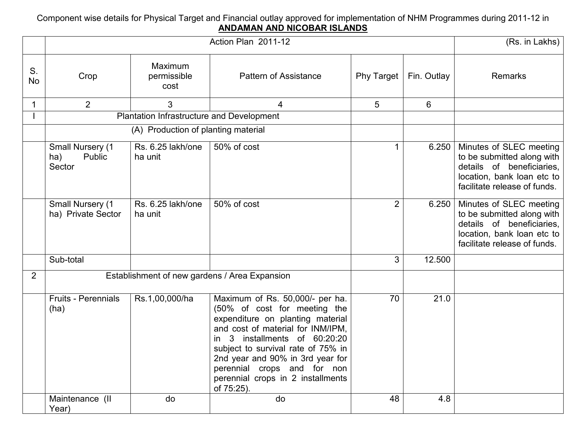## Component wise details for Physical Target and Financial outlay approved for implementation of NHM Programmes during 2011-12 in<br>ANDAMAN AND NICOBAR ISLANDS

|                 |                                               | (Rs. in Lakhs)                            |                                                                                                                                                                                                                                                                                                                                       |                   |             |                                                                                                                                                  |
|-----------------|-----------------------------------------------|-------------------------------------------|---------------------------------------------------------------------------------------------------------------------------------------------------------------------------------------------------------------------------------------------------------------------------------------------------------------------------------------|-------------------|-------------|--------------------------------------------------------------------------------------------------------------------------------------------------|
| S.<br><b>No</b> | Crop                                          | Maximum<br>permissible<br>cost            | <b>Pattern of Assistance</b>                                                                                                                                                                                                                                                                                                          | <b>Phy Target</b> | Fin. Outlay | Remarks                                                                                                                                          |
| 1               | 2                                             | 3                                         | 4                                                                                                                                                                                                                                                                                                                                     | 5                 | 6           |                                                                                                                                                  |
|                 |                                               | Plantation Infrastructure and Development |                                                                                                                                                                                                                                                                                                                                       |                   |             |                                                                                                                                                  |
|                 |                                               | (A) Production of planting material       |                                                                                                                                                                                                                                                                                                                                       |                   |             |                                                                                                                                                  |
|                 | Small Nursery (1<br>Public<br>ha)<br>Sector   | Rs. 6.25 lakh/one<br>ha unit              | 50% of cost                                                                                                                                                                                                                                                                                                                           |                   | 6.250       | Minutes of SLEC meeting<br>to be submitted along with<br>details of beneficiaries,<br>location, bank loan etc to<br>facilitate release of funds. |
|                 | Small Nursery (1<br>ha) Private Sector        | Rs. 6.25 lakh/one<br>ha unit              | 50% of cost                                                                                                                                                                                                                                                                                                                           | $\overline{2}$    | 6.250       | Minutes of SLEC meeting<br>to be submitted along with<br>details of beneficiaries,<br>location, bank loan etc to<br>facilitate release of funds. |
|                 | Sub-total                                     |                                           |                                                                                                                                                                                                                                                                                                                                       | 3                 | 12.500      |                                                                                                                                                  |
| 2               | Establishment of new gardens / Area Expansion |                                           |                                                                                                                                                                                                                                                                                                                                       |                   |             |                                                                                                                                                  |
|                 | Fruits - Perennials<br>(ha)                   | Rs.1,00,000/ha                            | Maximum of Rs. 50,000/- per ha.<br>(50% of cost for meeting the<br>expenditure on planting material<br>and cost of material for INM/IPM,<br>in 3 installments of 60:20:20<br>subject to survival rate of 75% in<br>2nd year and 90% in 3rd year for<br>perennial crops and for non<br>perennial crops in 2 installments<br>of 75:25). | 70                | 21.0        |                                                                                                                                                  |
|                 | Maintenance (II<br>Year)                      | do                                        | do                                                                                                                                                                                                                                                                                                                                    | 48                | 4.8         |                                                                                                                                                  |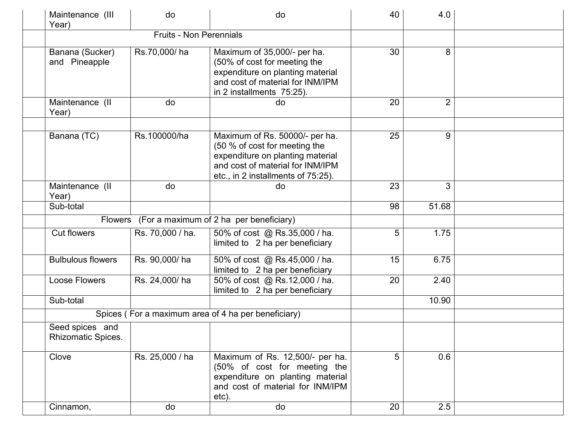| Maintenance (III<br>Year)             | do                             | do                                                                                                                                                                            | 40 | 4.0            |  |
|---------------------------------------|--------------------------------|-------------------------------------------------------------------------------------------------------------------------------------------------------------------------------|----|----------------|--|
|                                       | <b>Fruits - Non Perennials</b> |                                                                                                                                                                               |    |                |  |
| Banana (Sucker)<br>and Pineapple      | Rs.70,000/ha                   | Maximum of 35,000/- per ha.<br>(50% of cost for meeting the<br>expenditure on planting material<br>and cost of material for INM/IPM<br>in 2 installments 75:25).              | 30 | 8              |  |
| Maintenance (II<br>Year)              | do                             | do                                                                                                                                                                            | 20 | $\overline{2}$ |  |
| Banana (TC)                           | Rs.100000/ha                   | Maximum of Rs. 50000/- per ha.<br>(50 % of cost for meeting the<br>expenditure on planting material<br>and cost of material for INM/IPM<br>etc., in 2 installments of 75:25). | 25 | 9              |  |
| Maintenance (II<br>Year)              | do                             | do                                                                                                                                                                            | 23 | 3              |  |
| Sub-total                             |                                |                                                                                                                                                                               | 98 | 51.68          |  |
|                                       |                                | Flowers (For a maximum of 2 ha per beneficiary)                                                                                                                               |    |                |  |
| <b>Cut flowers</b>                    | Rs. 70,000 / ha.               | 50% of cost @ Rs.35,000 / ha.<br>limited to 2 ha per beneficiary                                                                                                              | 5  | 1.75           |  |
| <b>Bulbulous flowers</b>              | Rs. 90,000/ha                  | 50% of cost @ Rs.45,000 / ha.<br>limited to 2 ha per beneficiary                                                                                                              | 15 | 6.75           |  |
| <b>Loose Flowers</b>                  | Rs. 24,000/ha                  | 50% of cost @ Rs.12,000 / ha.<br>limited to 2 ha per beneficiary                                                                                                              | 20 | 2.40           |  |
| Sub-total                             |                                |                                                                                                                                                                               |    | 10.90          |  |
|                                       |                                | Spices (For a maximum area of 4 ha per beneficiary)                                                                                                                           |    |                |  |
| Seed spices and<br>Rhizomatic Spices. |                                |                                                                                                                                                                               |    |                |  |
| Clove                                 | Rs. 25,000 / ha                | Maximum of Rs. 12,500/- per ha.<br>(50% of cost for meeting the<br>expenditure on planting material<br>and cost of material for INM/IPM<br>etc).                              | 5  | 0.6            |  |
| Cinnamon,                             | do                             | do                                                                                                                                                                            | 20 | 2.5            |  |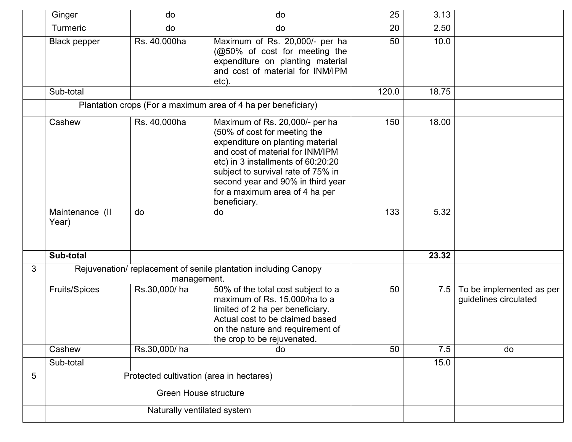|   | Ginger                                                                        | do           | do                                                                                                                                                                                                                                                                                                        | 25    | 3.13  |                                                   |
|---|-------------------------------------------------------------------------------|--------------|-----------------------------------------------------------------------------------------------------------------------------------------------------------------------------------------------------------------------------------------------------------------------------------------------------------|-------|-------|---------------------------------------------------|
|   | <b>Turmeric</b>                                                               | do           | do                                                                                                                                                                                                                                                                                                        | 20    | 2.50  |                                                   |
|   | <b>Black pepper</b>                                                           | Rs. 40,000ha | Maximum of Rs. 20,000/- per ha<br>(@50% of cost for meeting the<br>expenditure on planting material<br>and cost of material for INM/IPM<br>etc).                                                                                                                                                          | 50    | 10.0  |                                                   |
|   | Sub-total                                                                     |              |                                                                                                                                                                                                                                                                                                           | 120.0 | 18.75 |                                                   |
|   |                                                                               |              | Plantation crops (For a maximum area of 4 ha per beneficiary)                                                                                                                                                                                                                                             |       |       |                                                   |
|   | Cashew                                                                        | Rs. 40,000ha | Maximum of Rs. 20,000/- per ha<br>(50% of cost for meeting the<br>expenditure on planting material<br>and cost of material for INM/IPM<br>etc) in 3 installments of 60:20:20<br>subject to survival rate of 75% in<br>second year and 90% in third year<br>for a maximum area of 4 ha per<br>beneficiary. | 150   | 18.00 |                                                   |
|   | Maintenance (II<br>Year)                                                      | do           | do                                                                                                                                                                                                                                                                                                        | 133   | 5.32  |                                                   |
|   | Sub-total                                                                     |              |                                                                                                                                                                                                                                                                                                           |       | 23.32 |                                                   |
| 3 | Rejuvenation/replacement of senile plantation including Canopy<br>management. |              |                                                                                                                                                                                                                                                                                                           |       |       |                                                   |
|   | <b>Fruits/Spices</b>                                                          | Rs.30,000/ha | 50% of the total cost subject to a<br>maximum of Rs. 15,000/ha to a<br>limited of 2 ha per beneficiary.<br>Actual cost to be claimed based<br>on the nature and requirement of<br>the crop to be rejuvenated.                                                                                             | 50    | 7.5   | To be implemented as per<br>guidelines circulated |
|   | Cashew                                                                        | Rs.30,000/ha | do                                                                                                                                                                                                                                                                                                        | 50    | 7.5   | do                                                |
|   | Sub-total                                                                     |              |                                                                                                                                                                                                                                                                                                           |       | 15.0  |                                                   |
| 5 | Protected cultivation (area in hectares)                                      |              |                                                                                                                                                                                                                                                                                                           |       |       |                                                   |
|   | <b>Green House structure</b>                                                  |              |                                                                                                                                                                                                                                                                                                           |       |       |                                                   |
|   | Naturally ventilated system                                                   |              |                                                                                                                                                                                                                                                                                                           |       |       |                                                   |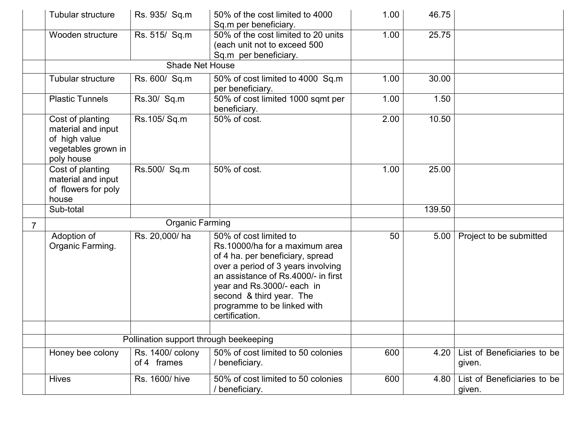|                | Tubular structure                                                                            | Rs. 935/ Sq.m                   | 50% of the cost limited to 4000<br>Sq.m per beneficiary.                                                                                                                                                                                                                             | 1.00 | 46.75  |                                       |
|----------------|----------------------------------------------------------------------------------------------|---------------------------------|--------------------------------------------------------------------------------------------------------------------------------------------------------------------------------------------------------------------------------------------------------------------------------------|------|--------|---------------------------------------|
|                | Wooden structure                                                                             | Rs. 515/ Sq.m                   | 50% of the cost limited to 20 units<br>(each unit not to exceed 500<br>Sq.m per beneficiary.                                                                                                                                                                                         | 1.00 | 25.75  |                                       |
|                |                                                                                              | <b>Shade Net House</b>          |                                                                                                                                                                                                                                                                                      |      |        |                                       |
|                | Tubular structure                                                                            | Rs. 600/ Sq.m                   | 50% of cost limited to 4000 Sq.m<br>per beneficiary.                                                                                                                                                                                                                                 | 1.00 | 30.00  |                                       |
|                | <b>Plastic Tunnels</b>                                                                       | Rs.30/ Sq.m                     | 50% of cost limited 1000 sqmt per<br>beneficiary.                                                                                                                                                                                                                                    | 1.00 | 1.50   |                                       |
|                | Cost of planting<br>material and input<br>of high value<br>vegetables grown in<br>poly house | Rs.105/Sq.m                     | 50% of cost.                                                                                                                                                                                                                                                                         | 2.00 | 10.50  |                                       |
|                | Cost of planting<br>material and input<br>of flowers for poly<br>house                       | Rs.500/ Sq.m                    | 50% of cost.                                                                                                                                                                                                                                                                         | 1.00 | 25.00  |                                       |
|                | Sub-total                                                                                    |                                 |                                                                                                                                                                                                                                                                                      |      | 139.50 |                                       |
| $\overline{7}$ |                                                                                              | <b>Organic Farming</b>          |                                                                                                                                                                                                                                                                                      |      |        |                                       |
|                | Adoption of<br>Organic Farming.                                                              | Rs. 20,000/ha                   | 50% of cost limited to<br>Rs.10000/ha for a maximum area<br>of 4 ha. per beneficiary, spread<br>over a period of 3 years involving<br>an assistance of Rs.4000/- in first<br>year and Rs.3000/- each in<br>second & third year. The<br>programme to be linked with<br>certification. | 50   | 5.00   | Project to be submitted               |
|                |                                                                                              |                                 |                                                                                                                                                                                                                                                                                      |      |        |                                       |
|                | Pollination support through beekeeping                                                       |                                 |                                                                                                                                                                                                                                                                                      |      |        |                                       |
|                | Honey bee colony                                                                             | Rs. 1400/ colony<br>of 4 frames | 50% of cost limited to 50 colonies<br>/ beneficiary.                                                                                                                                                                                                                                 | 600  | 4.20   | List of Beneficiaries to be<br>given. |
|                | <b>Hives</b>                                                                                 | Rs. 1600/ hive                  | 50% of cost limited to 50 colonies<br>/ beneficiary.                                                                                                                                                                                                                                 | 600  | 4.80   | List of Beneficiaries to be<br>given. |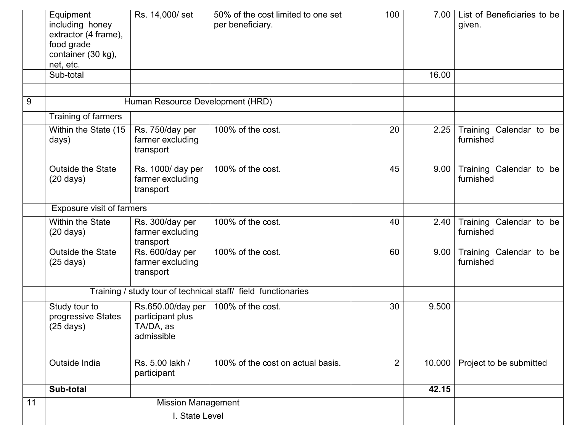|                | Equipment<br>including honey<br>extractor (4 frame),<br>food grade<br>container (30 kg),<br>net, etc. | Rs. 14,000/set                                                     | 50% of the cost limited to one set<br>per beneficiary. | 100            | 7.00   | List of Beneficiaries to be<br>given. |
|----------------|-------------------------------------------------------------------------------------------------------|--------------------------------------------------------------------|--------------------------------------------------------|----------------|--------|---------------------------------------|
|                | Sub-total                                                                                             |                                                                    |                                                        |                | 16.00  |                                       |
| $\overline{9}$ |                                                                                                       | Human Resource Development (HRD)                                   |                                                        |                |        |                                       |
|                |                                                                                                       |                                                                    |                                                        |                |        |                                       |
|                | Training of farmers                                                                                   |                                                                    |                                                        |                |        |                                       |
|                | Within the State (15<br>days)                                                                         | Rs. 750/day per<br>farmer excluding<br>transport                   | 100% of the cost.                                      | 20             | 2.25   | Training Calendar to be<br>furnished  |
|                | <b>Outside the State</b><br>$(20 \text{ days})$                                                       | Rs. 1000/ day per<br>farmer excluding<br>transport                 | 100% of the cost.                                      | 45             | 9.00   | Training Calendar to be<br>furnished  |
|                | Exposure visit of farmers                                                                             |                                                                    |                                                        |                |        |                                       |
|                | <b>Within the State</b><br>$(20 \text{ days})$                                                        | Rs. 300/day per<br>farmer excluding<br>transport                   | 100% of the cost.                                      | 40             | 2.40   | Training Calendar to be<br>furnished  |
|                | <b>Outside the State</b><br>$(25 \text{ days})$                                                       | Rs. 600/day per<br>farmer excluding<br>transport                   | 100% of the cost.                                      | 60             | 9.00   | Training Calendar to be<br>furnished  |
|                | Training / study tour of technical staff/ field functionaries                                         |                                                                    |                                                        |                |        |                                       |
|                | Study tour to<br>progressive States<br>$(25 \text{ days})$                                            | Rs.650.00/day per  <br>participant plus<br>TA/DA, as<br>admissible | 100% of the cost.                                      | 30             | 9.500  |                                       |
|                | Outside India                                                                                         | Rs. 5.00 lakh /<br>participant                                     | 100% of the cost on actual basis.                      | $\overline{2}$ | 10.000 | Project to be submitted               |
|                | Sub-total                                                                                             |                                                                    |                                                        |                | 42.15  |                                       |
| 11             |                                                                                                       | <b>Mission Management</b>                                          |                                                        |                |        |                                       |
|                | I. State Level                                                                                        |                                                                    |                                                        |                |        |                                       |